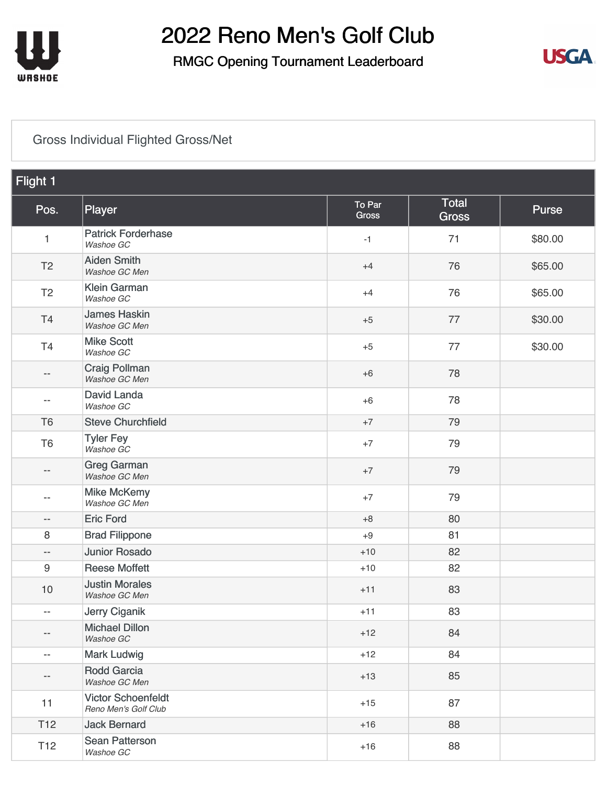

### RMGC Opening Tournament Leaderboard



#### [Gross Individual Flighted Gross/Net](https://cdn2.golfgenius.com/v2tournaments/8161025238704872702?called_from=&round_index=1)

| Flight 1                 |                                                   |                 |                       |              |
|--------------------------|---------------------------------------------------|-----------------|-----------------------|--------------|
| Pos.                     | Player                                            | To Par<br>Gross | Total<br><b>Gross</b> | <b>Purse</b> |
| $\mathbf{1}$             | <b>Patrick Forderhase</b><br>Washoe GC            | $-1$            | 71                    | \$80.00      |
| T <sub>2</sub>           | <b>Aiden Smith</b><br>Washoe GC Men               | $+4$            | 76                    | \$65.00      |
| T <sub>2</sub>           | <b>Klein Garman</b><br>Washoe GC                  | $+4$            | 76                    | \$65.00      |
| T4                       | <b>James Haskin</b><br>Washoe GC Men              | $+5$            | 77                    | \$30.00      |
| T4                       | <b>Mike Scott</b><br>Washoe GC                    | $+5$            | 77                    | \$30.00      |
| $\qquad \qquad -$        | <b>Craig Pollman</b><br>Washoe GC Men             | $+6$            | 78                    |              |
| $\overline{\phantom{a}}$ | David Landa<br>Washoe GC                          | $+6$            | 78                    |              |
| T <sub>6</sub>           | <b>Steve Churchfield</b>                          | $+7$            | 79                    |              |
| T <sub>6</sub>           | <b>Tyler Fey</b><br>Washoe GC                     | $+7$            | 79                    |              |
| $\overline{\phantom{m}}$ | <b>Greg Garman</b><br>Washoe GC Men               | $+7$            | 79                    |              |
| --                       | <b>Mike McKemy</b><br>Washoe GC Men               | $+7$            | 79                    |              |
| $\overline{\phantom{m}}$ | <b>Eric Ford</b>                                  | $+8$            | 80                    |              |
| 8                        | <b>Brad Filippone</b>                             | $+9$            | 81                    |              |
| $\overline{\phantom{m}}$ | <b>Junior Rosado</b>                              | $+10$           | 82                    |              |
| 9                        | <b>Reese Moffett</b>                              | $+10$           | 82                    |              |
| 10                       | <b>Justin Morales</b><br>Washoe GC Men            | $+11$           | 83                    |              |
| $\overline{\phantom{m}}$ | Jerry Ciganik                                     | $+11$           | 83                    |              |
| --                       | <b>Michael Dillon</b><br>Washoe GC                | $+12$           | 84                    |              |
| $\overline{\phantom{a}}$ | <b>Mark Ludwig</b>                                | $+12$           | 84                    |              |
| $-\, -$                  | <b>Rodd Garcia</b><br>Washoe GC Men               | $+13$           | 85                    |              |
| 11                       | <b>Victor Schoenfeldt</b><br>Reno Men's Golf Club | $+15$           | 87                    |              |
| T <sub>12</sub>          | <b>Jack Bernard</b>                               | $+16$           | 88                    |              |
| T <sub>12</sub>          | Sean Patterson<br>Washoe GC                       | $+16$           | 88                    |              |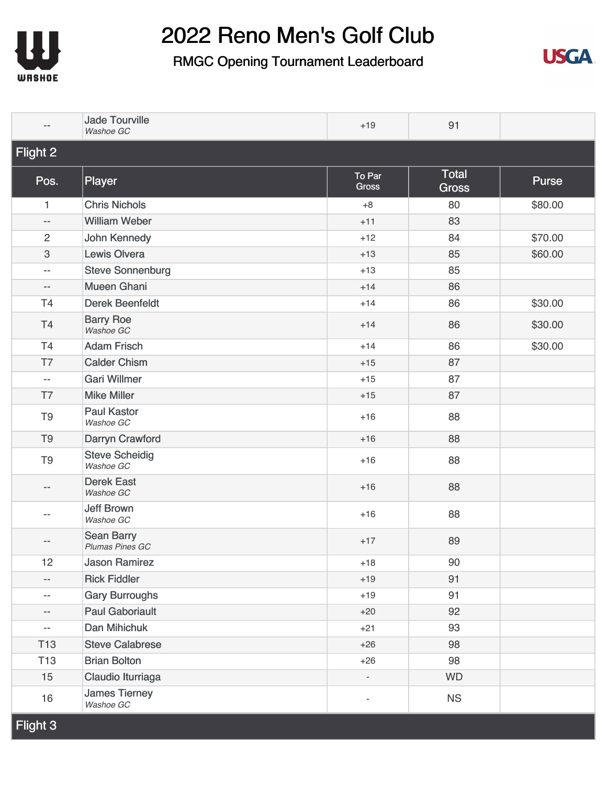



|                          | <b>Jade Tourville</b><br>Washoe GC   | $+19$                    | 91                           |         |
|--------------------------|--------------------------------------|--------------------------|------------------------------|---------|
| Flight 2                 |                                      |                          |                              |         |
| Pos.                     | Player                               | To Par<br><b>Gross</b>   | <b>Total</b><br><b>Gross</b> | Purse   |
| 1                        | <b>Chris Nichols</b>                 | $+8$                     | 80                           | \$80.00 |
| $\overline{\phantom{a}}$ | <b>William Weber</b>                 | $+11$                    | 83                           |         |
| $\overline{c}$           | John Kennedy                         | $+12$                    | 84                           | \$70.00 |
| 3                        | <b>Lewis Olvera</b>                  | $+13$                    | 85                           | \$60.00 |
| $\overline{\phantom{a}}$ | <b>Steve Sonnenburg</b>              | $+13$                    | 85                           |         |
| $\overline{\phantom{a}}$ | <b>Mueen Ghani</b>                   | $+14$                    | 86                           |         |
| T4                       | <b>Derek Beenfeldt</b>               | $+14$                    | 86                           | \$30.00 |
| T <sub>4</sub>           | <b>Barry Roe</b><br>Washoe GC        | $+14$                    | 86                           | \$30.00 |
| T4                       | <b>Adam Frisch</b>                   | $+14$                    | 86                           | \$30.00 |
| T7                       | <b>Calder Chism</b>                  | $+15$                    | 87                           |         |
| $\overline{\phantom{m}}$ | <b>Gari Willmer</b>                  | $+15$                    | 87                           |         |
| T7                       | <b>Mike Miller</b>                   | $+15$                    | 87                           |         |
| T <sub>9</sub>           | <b>Paul Kastor</b><br>Washoe GC      | $+16$                    | 88                           |         |
| T <sub>9</sub>           | Darryn Crawford                      | $+16$                    | 88                           |         |
| T <sub>9</sub>           | <b>Steve Scheidig</b><br>Washoe GC   | $+16$                    | 88                           |         |
| $-\,-$                   | <b>Derek East</b><br>Washoe GC       | $+16$                    | 88                           |         |
| $-$                      | <b>Jeff Brown</b><br>Washoe GC       | $+16$                    | 88                           |         |
| $- -$                    | <b>Sean Barry</b><br>Plumas Pines GC | $+17$                    | 89                           |         |
| 12                       | <b>Jason Ramirez</b>                 | $+18$                    | 90                           |         |
| $\overline{\phantom{a}}$ | <b>Rick Fiddler</b>                  | $+19$                    | 91                           |         |
| $\overline{\phantom{m}}$ | <b>Gary Burroughs</b>                | $+19$                    | 91                           |         |
| --                       | <b>Paul Gaboriault</b>               | $+20$                    | 92                           |         |
| $\overline{\phantom{a}}$ | Dan Mihichuk                         | $+21$                    | 93                           |         |
| <b>T13</b>               | <b>Steve Calabrese</b>               | $+26$                    | 98                           |         |
| T <sub>13</sub>          | <b>Brian Bolton</b>                  | $+26$                    | 98                           |         |
| 15                       | Claudio Iturriaga                    |                          | <b>WD</b>                    |         |
| 16                       | <b>James Tierney</b><br>Washoe GC    | $\overline{\phantom{a}}$ | <b>NS</b>                    |         |
| Flight 3                 |                                      |                          |                              |         |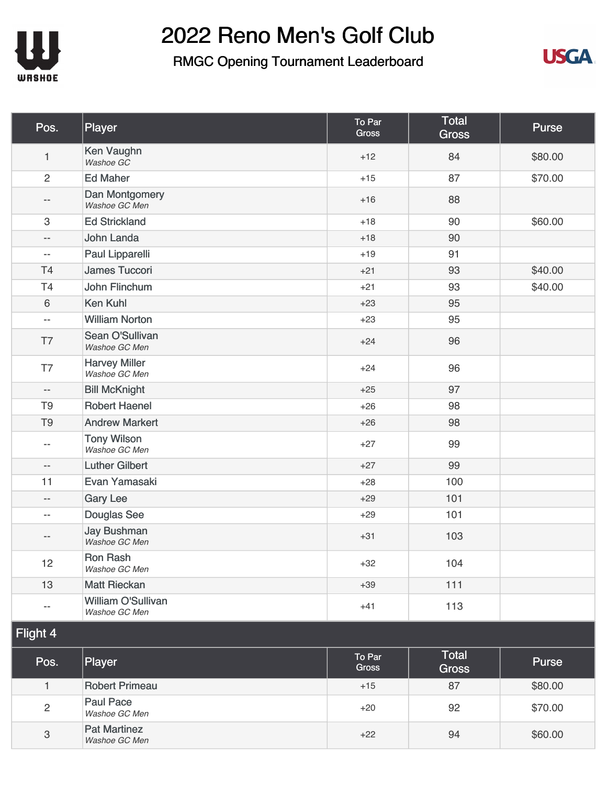



| Pos.                      | Player                                | To Par<br><b>Gross</b> | <b>Total</b><br><b>Gross</b> | <b>Purse</b> |
|---------------------------|---------------------------------------|------------------------|------------------------------|--------------|
| $\mathbf{1}$              | Ken Vaughn<br>Washoe GC               | $+12$                  | 84                           | \$80.00      |
| $\overline{c}$            | <b>Ed Maher</b>                       | $+15$                  | 87                           | \$70.00      |
| --                        | Dan Montgomery<br>Washoe GC Men       | $+16$                  | 88                           |              |
| $\ensuremath{\mathsf{3}}$ | <b>Ed Strickland</b>                  | $+18$                  | 90                           | \$60.00      |
| --                        | John Landa                            | $+18$                  | 90                           |              |
| $\overline{\phantom{a}}$  | Paul Lipparelli                       | $+19$                  | 91                           |              |
| <b>T4</b>                 | <b>James Tuccori</b>                  | $+21$                  | 93                           | \$40.00      |
| T4                        | John Flinchum                         | $+21$                  | 93                           | \$40.00      |
| 6                         | <b>Ken Kuhl</b>                       | $+23$                  | 95                           |              |
| $-$                       | <b>William Norton</b>                 | $+23$                  | 95                           |              |
| T7                        | Sean O'Sullivan<br>Washoe GC Men      | $+24$                  | 96                           |              |
| T7                        | <b>Harvey Miller</b><br>Washoe GC Men | $+24$                  | 96                           |              |
| $\overline{\phantom{m}}$  | <b>Bill McKnight</b>                  | $+25$                  | 97                           |              |
| T <sub>9</sub>            | <b>Robert Haenel</b>                  | $+26$                  | 98                           |              |
| T <sub>9</sub>            | <b>Andrew Markert</b>                 | $+26$                  | 98                           |              |
| $-$                       | <b>Tony Wilson</b><br>Washoe GC Men   | $+27$                  | 99                           |              |
| $-$                       | <b>Luther Gilbert</b>                 | $+27$                  | 99                           |              |
| 11                        | Evan Yamasaki                         | $+28$                  | 100                          |              |
| --                        | <b>Gary Lee</b>                       | $+29$                  | 101                          |              |
| --                        | <b>Douglas See</b>                    | $+29$                  | 101                          |              |
| --                        | <b>Jay Bushman</b><br>Washoe GC Men   | $+31$                  | 103                          |              |
| 12                        | <b>Ron Rash</b><br>Washoe GC Men      | $+32$                  | 104                          |              |
| 13                        | <b>Matt Rieckan</b>                   | $+39$                  | $111$                        |              |
| --                        | William O'Sullivan<br>Washoe GC Men   | $+41$                  | 113                          |              |
| Flight 4                  |                                       |                        |                              |              |
| Pos.                      | Player                                | To Par<br><b>Gross</b> | Total<br><b>Gross</b>        | Purse        |
| $\mathbf{1}$              | <b>Robert Primeau</b>                 | $+15$                  | 87                           | \$80.00      |
| $\overline{c}$            | <b>Paul Pace</b><br>Washoe GC Men     | $+20$                  | 92                           | \$70.00      |
| $\ensuremath{\mathsf{3}}$ | <b>Pat Martinez</b><br>Washoe GC Men  | $+22$                  | 94                           | \$60.00      |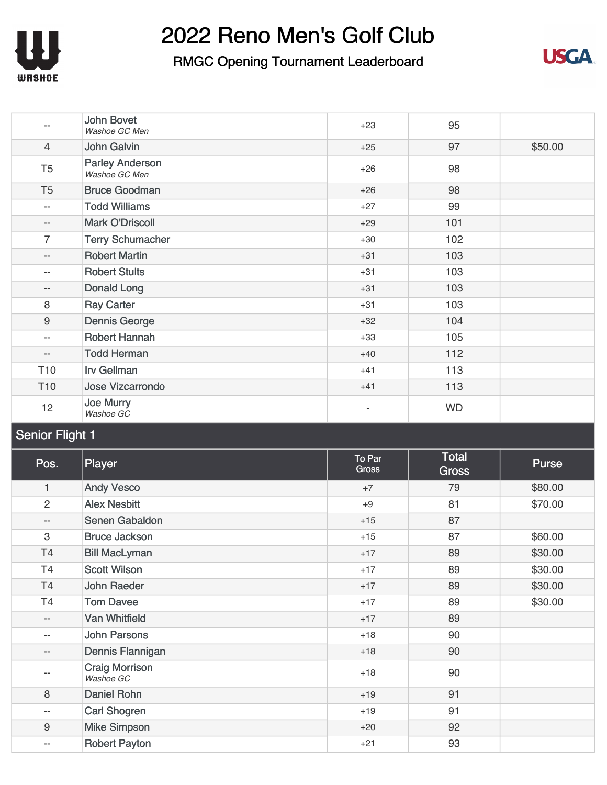

### RMGC Opening Tournament Leaderboard



|                          | <b>John Bovet</b><br>Washoe GC Men      | $+23$ | 95        |         |
|--------------------------|-----------------------------------------|-------|-----------|---------|
| $\overline{4}$           | John Galvin                             | $+25$ | 97        | \$50.00 |
| T <sub>5</sub>           | <b>Parley Anderson</b><br>Washoe GC Men | $+26$ | 98        |         |
| T <sub>5</sub>           | <b>Bruce Goodman</b>                    | $+26$ | 98        |         |
| $\qquad \qquad -$        | <b>Todd Williams</b>                    | $+27$ | 99        |         |
| $\qquad \qquad -$        | <b>Mark O'Driscoll</b>                  | $+29$ | 101       |         |
| $\overline{7}$           | <b>Terry Schumacher</b>                 | $+30$ | 102       |         |
| $\qquad \qquad -$        | <b>Robert Martin</b>                    | $+31$ | 103       |         |
| $-$                      | <b>Robert Stults</b>                    | $+31$ | 103       |         |
| $\qquad \qquad -$        | Donald Long                             | $+31$ | 103       |         |
| 8                        | <b>Ray Carter</b>                       | $+31$ | 103       |         |
| $\boldsymbol{9}$         | <b>Dennis George</b>                    | $+32$ | 104       |         |
| $- -$                    | Robert Hannah                           | $+33$ | 105       |         |
| $\overline{\phantom{a}}$ | <b>Todd Herman</b>                      | $+40$ | 112       |         |
| T <sub>10</sub>          | <b>Irv Gellman</b>                      | $+41$ | 113       |         |
| T <sub>10</sub>          | <b>Jose Vizcarrondo</b>                 | $+41$ | 113       |         |
| 12                       | Joe Murry<br>Washoe GC                  |       | <b>WD</b> |         |

#### Senior Flight 1

| Pos.                      | Player                             | To Par<br><b>Gross</b> | <b>Total</b><br><b>Gross</b> | Purse   |
|---------------------------|------------------------------------|------------------------|------------------------------|---------|
| 1                         | <b>Andy Vesco</b>                  | $+7$                   | 79                           | \$80.00 |
| $\overline{c}$            | <b>Alex Nesbitt</b>                | $+9$                   | 81                           | \$70.00 |
| $-\,-$                    | Senen Gabaldon                     | $+15$                  | 87                           |         |
| $\ensuremath{\mathsf{3}}$ | <b>Bruce Jackson</b>               | $+15$                  | 87                           | \$60.00 |
| Τ4                        | <b>Bill MacLyman</b>               | $+17$                  | 89                           | \$30.00 |
| T4                        | <b>Scott Wilson</b>                | $+17$                  | 89                           | \$30.00 |
| T <sub>4</sub>            | <b>John Raeder</b>                 | $+17$                  | 89                           | \$30.00 |
| T <sub>4</sub>            | <b>Tom Davee</b>                   | $+17$                  | 89                           | \$30.00 |
| $- -$                     | <b>Van Whitfield</b>               | $+17$                  | 89                           |         |
| --                        | <b>John Parsons</b>                | $+18$                  | 90                           |         |
| $\qquad \qquad -$         | Dennis Flannigan                   | $+18$                  | 90                           |         |
| $- -$                     | <b>Craig Morrison</b><br>Washoe GC | $+18$                  | 90                           |         |
| 8                         | Daniel Rohn                        | $+19$                  | 91                           |         |
| $\overline{\phantom{m}}$  | <b>Carl Shogren</b>                | $+19$                  | 91                           |         |
| $\boldsymbol{9}$          | <b>Mike Simpson</b>                | $+20$                  | 92                           |         |
| $\overline{\phantom{m}}$  | <b>Robert Payton</b>               | $+21$                  | 93                           |         |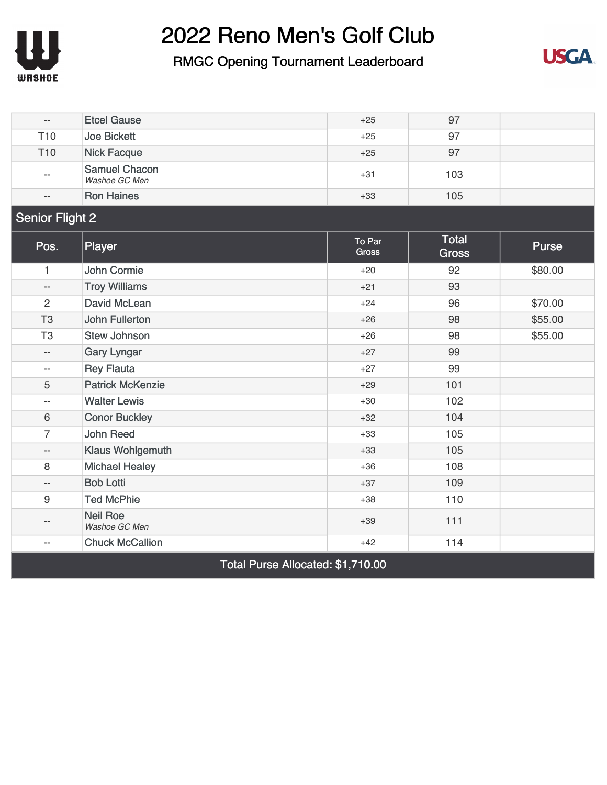

#### RMGC Opening Tournament Leaderboard



| $\overline{\phantom{m}}$ | <b>Etcel Gause</b>                    | $+25$                  | 97                           |              |
|--------------------------|---------------------------------------|------------------------|------------------------------|--------------|
| T <sub>10</sub>          | <b>Joe Bickett</b>                    | $+25$                  | 97                           |              |
| T <sub>10</sub>          | <b>Nick Facque</b>                    | $+25$                  | 97                           |              |
|                          | <b>Samuel Chacon</b><br>Washoe GC Men | $+31$                  | 103                          |              |
| $-$                      | <b>Ron Haines</b>                     | $+33$                  | 105                          |              |
| <b>Senior Flight 2</b>   |                                       |                        |                              |              |
| Pos.                     | Player                                | To Par<br><b>Gross</b> | <b>Total</b><br><b>Gross</b> | <b>Purse</b> |
| 1                        | <b>John Cormie</b>                    | $+20$                  | 92                           | \$80.00      |
| $\overline{\phantom{a}}$ | <b>Troy Williams</b>                  | $+21$                  | 93                           |              |
| $\overline{2}$           | <b>David McLean</b>                   | $+24$                  | 96                           | \$70.00      |
| T <sub>3</sub>           | <b>John Fullerton</b>                 | $+26$                  | 98                           | \$55.00      |
| T <sub>3</sub>           | <b>Stew Johnson</b>                   | $+26$                  | 98                           | \$55.00      |
| $-$                      | <b>Gary Lyngar</b>                    | $+27$                  | 99                           |              |
| $-$                      | <b>Rey Flauta</b>                     | $+27$                  | 99                           |              |
| 5                        | <b>Patrick McKenzie</b>               | $+29$                  | 101                          |              |
| $\overline{\phantom{m}}$ | <b>Walter Lewis</b>                   | $+30$                  | 102                          |              |
| 6                        | <b>Conor Buckley</b>                  | $+32$                  | 104                          |              |
| $\overline{7}$           | <b>John Reed</b>                      | $+33$                  | 105                          |              |
| --                       | <b>Klaus Wohlgemuth</b>               | $+33$                  | 105                          |              |
| 8                        | <b>Michael Healey</b>                 | $+36$                  | 108                          |              |
| --                       | <b>Bob Lotti</b>                      | $+37$                  | 109                          |              |
| $\boldsymbol{9}$         | <b>Ted McPhie</b>                     | $+38$                  | 110                          |              |
| --                       | <b>Neil Roe</b><br>Washoe GC Men      | $+39$                  | 111                          |              |
| $-$                      | <b>Chuck McCallion</b>                | $+42$                  | 114                          |              |
|                          |                                       |                        |                              |              |

Total Purse Allocated: \$1,710.00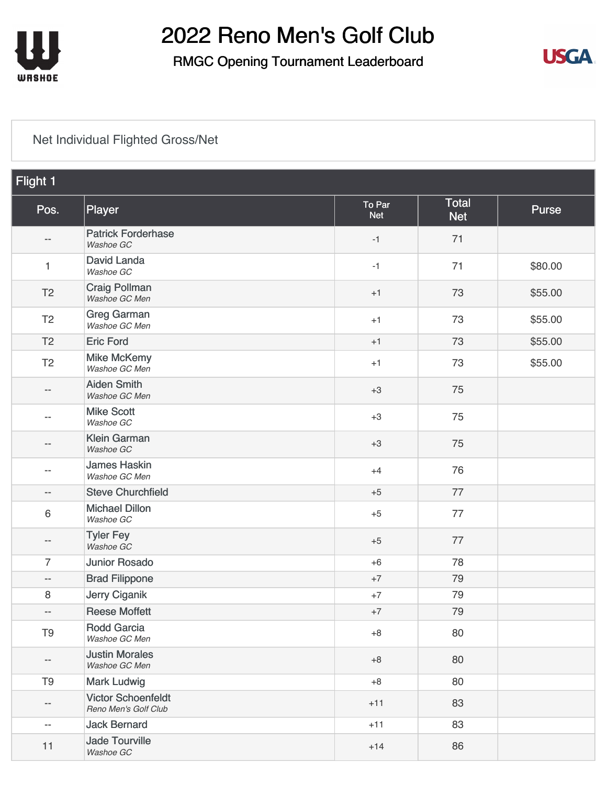

### RMGC Opening Tournament Leaderboard



#### [Net Individual Flighted Gross/Net](https://cdn2.golfgenius.com/v2tournaments/8161025241355672831?called_from=&round_index=1)

| Flight 1                 |                                                   |                      |                            |         |
|--------------------------|---------------------------------------------------|----------------------|----------------------------|---------|
| Pos.                     | Player                                            | To Par<br><b>Net</b> | <b>Total</b><br><b>Net</b> | Purse   |
| --                       | <b>Patrick Forderhase</b><br>Washoe GC            | $-1$                 | 71                         |         |
| 1                        | David Landa<br>Washoe GC                          | $-1$                 | 71                         | \$80.00 |
| T <sub>2</sub>           | <b>Craig Pollman</b><br>Washoe GC Men             | $+1$                 | 73                         | \$55.00 |
| T <sub>2</sub>           | <b>Greg Garman</b><br>Washoe GC Men               | $+1$                 | 73                         | \$55.00 |
| T <sub>2</sub>           | <b>Eric Ford</b>                                  | $+1$                 | 73                         | \$55.00 |
| T <sub>2</sub>           | <b>Mike McKemy</b><br>Washoe GC Men               | $+1$                 | 73                         | \$55.00 |
| --                       | <b>Aiden Smith</b><br>Washoe GC Men               | $+3$                 | 75                         |         |
| --                       | <b>Mike Scott</b><br>Washoe GC                    | $+3$                 | 75                         |         |
| --                       | <b>Klein Garman</b><br>Washoe GC                  | $+3$                 | 75                         |         |
| --                       | <b>James Haskin</b><br>Washoe GC Men              | $+4$                 | 76                         |         |
| --                       | <b>Steve Churchfield</b>                          | $+5$                 | 77                         |         |
| 6                        | <b>Michael Dillon</b><br>Washoe GC                | $+5$                 | 77                         |         |
| --                       | <b>Tyler Fey</b><br>Washoe GC                     | $+5$                 | 77                         |         |
| $\overline{7}$           | <b>Junior Rosado</b>                              | $+6$                 | 78                         |         |
| $\overline{\phantom{a}}$ | <b>Brad Filippone</b>                             | $+7$                 | 79                         |         |
| 8                        | <b>Jerry Ciganik</b>                              | $+7$                 | 79                         |         |
| $-$                      | <b>Reese Moffett</b>                              | $+7$                 | 79                         |         |
| T <sub>9</sub>           | <b>Rodd Garcia</b><br>Washoe GC Men               | $+8$                 | 80                         |         |
| --                       | <b>Justin Morales</b><br>Washoe GC Men            | $+8$                 | 80                         |         |
| T <sub>9</sub>           | <b>Mark Ludwig</b>                                | $+8$                 | 80                         |         |
| --                       | <b>Victor Schoenfeldt</b><br>Reno Men's Golf Club | $+11$                | 83                         |         |
| $- -$                    | <b>Jack Bernard</b>                               | $+11$                | 83                         |         |
| 11                       | <b>Jade Tourville</b><br>Washoe GC                | $+14$                | 86                         |         |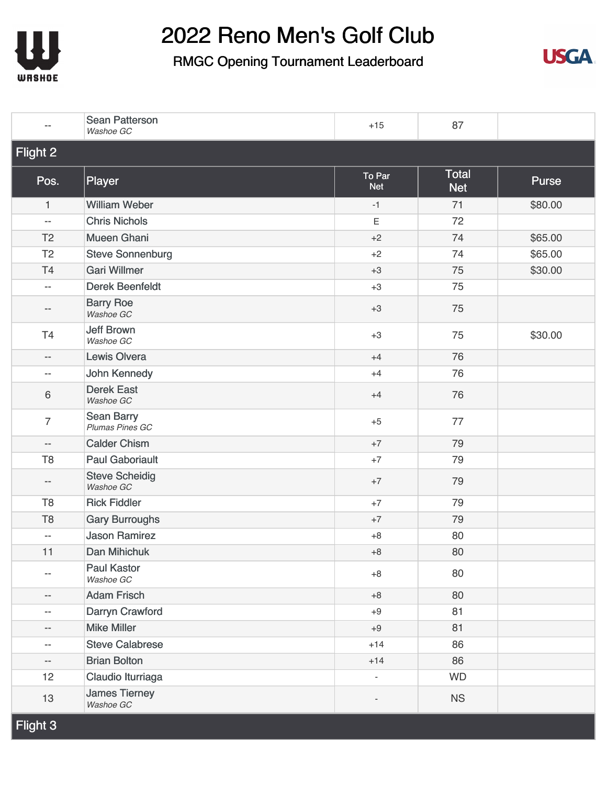



|                          | <b>Sean Patterson</b><br>Washoe GC   | $+15$                        | 87                         |         |
|--------------------------|--------------------------------------|------------------------------|----------------------------|---------|
| Flight 2                 |                                      |                              |                            |         |
| Pos.                     | Player                               | To Par<br><b>Net</b>         | <b>Total</b><br><b>Net</b> | Purse   |
| 1                        | <b>William Weber</b>                 | $-1$                         | 71                         | \$80.00 |
| $\overline{\phantom{m}}$ | <b>Chris Nichols</b>                 | $\mathsf E$                  | 72                         |         |
| T <sub>2</sub>           | <b>Mueen Ghani</b>                   | $+2$                         | 74                         | \$65.00 |
| T <sub>2</sub>           | <b>Steve Sonnenburg</b>              | $+2$                         | 74                         | \$65.00 |
| <b>T4</b>                | <b>Gari Willmer</b>                  | $+3$                         | 75                         | \$30.00 |
| $\overline{\phantom{a}}$ | <b>Derek Beenfeldt</b>               | $+3$                         | 75                         |         |
| $-\,-$                   | <b>Barry Roe</b><br>Washoe GC        | $+3$                         | 75                         |         |
| T4                       | <b>Jeff Brown</b><br>Washoe GC       | $+3$                         | 75                         | \$30.00 |
| $\overline{\phantom{a}}$ | <b>Lewis Olvera</b>                  | $+4$                         | 76                         |         |
| $\overline{\phantom{m}}$ | John Kennedy                         | $+4$                         | 76                         |         |
| $\,6$                    | <b>Derek East</b><br>Washoe GC       | $+4$                         | 76                         |         |
| $\overline{7}$           | <b>Sean Barry</b><br>Plumas Pines GC | $+5$                         | 77                         |         |
| $\overline{\phantom{m}}$ | <b>Calder Chism</b>                  | $+7$                         | 79                         |         |
| T <sub>8</sub>           | <b>Paul Gaboriault</b>               | $+7$                         | 79                         |         |
| $-\,-$                   | <b>Steve Scheidig</b><br>Washoe GC   | $+7$                         | 79                         |         |
| T <sub>8</sub>           | <b>Rick Fiddler</b>                  | $+7$                         | 79                         |         |
| T <sub>8</sub>           | <b>Gary Burroughs</b>                | $+7$                         | 79                         |         |
| $ \!-$                   | <b>Jason Ramirez</b>                 | $+8$                         | 80                         |         |
| 11                       | Dan Mihichuk                         | $+8$                         | 80                         |         |
| --                       | <b>Paul Kastor</b><br>Washoe GC      | $+8$                         | 80                         |         |
| --                       | <b>Adam Frisch</b>                   | $+8$                         | 80                         |         |
| $ \!-$                   | Darryn Crawford                      | $+9$                         | 81                         |         |
| $- \, -$                 | <b>Mike Miller</b>                   | $+9$                         | 81                         |         |
| $\overline{\phantom{m}}$ | <b>Steve Calabrese</b>               | $+14$                        | 86                         |         |
| $- -$                    | <b>Brian Bolton</b>                  | $+14$                        | 86                         |         |
| 12                       | Claudio Iturriaga                    |                              | <b>WD</b>                  |         |
| 13                       | <b>James Tierney</b><br>Washoe GC    | $\qquad \qquad \blacksquare$ | <b>NS</b>                  |         |
| Flight 3                 |                                      |                              |                            |         |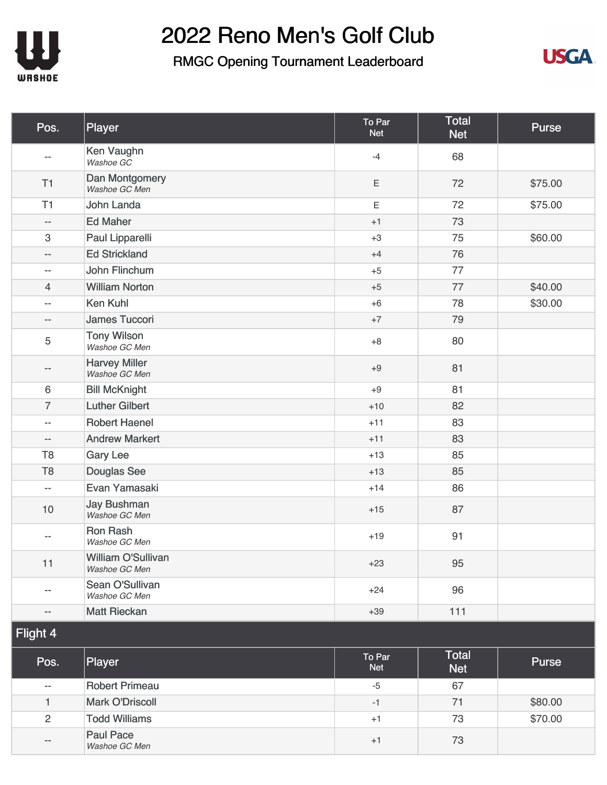



| Pos.                     | Player                                | To Par<br><b>Net</b> | <b>Total</b><br><b>Net</b> | Purse   |
|--------------------------|---------------------------------------|----------------------|----------------------------|---------|
| $-$                      | Ken Vaughn<br>Washoe GC               | $-4$                 | 68                         |         |
| T1                       | Dan Montgomery<br>Washoe GC Men       | Ε                    | 72                         | \$75.00 |
| T1                       | <b>John Landa</b>                     | Ε                    | 72                         | \$75.00 |
| --                       | <b>Ed Maher</b>                       | $+1$                 | 73                         |         |
| 3                        | Paul Lipparelli                       | $+3$                 | 75                         | \$60.00 |
| $-$                      | <b>Ed Strickland</b>                  | $+4$                 | 76                         |         |
| --                       | <b>John Flinchum</b>                  | $+5$                 | 77                         |         |
| 4                        | <b>William Norton</b>                 | $+5$                 | 77                         | \$40.00 |
| --                       | <b>Ken Kuhl</b>                       | $+6$                 | 78                         | \$30.00 |
| --                       | <b>James Tuccori</b>                  | $+7$                 | 79                         |         |
| 5                        | <b>Tony Wilson</b><br>Washoe GC Men   | $+8$                 | 80                         |         |
| --                       | <b>Harvey Miller</b><br>Washoe GC Men | $+9$                 | 81                         |         |
| 6                        | <b>Bill McKnight</b>                  | $+9$                 | 81                         |         |
| $\overline{7}$           | <b>Luther Gilbert</b>                 | $+10$                | 82                         |         |
| --                       | <b>Robert Haenel</b>                  | $+11$                | 83                         |         |
| $\overline{\phantom{m}}$ | <b>Andrew Markert</b>                 | $+11$                | 83                         |         |
| T <sub>8</sub>           | <b>Gary Lee</b>                       | $+13$                | 85                         |         |
| T <sub>8</sub>           | <b>Douglas See</b>                    | $+13$                | 85                         |         |
| $ \!-$                   | Evan Yamasaki                         | $+14$                | 86                         |         |
| 10                       | <b>Jay Bushman</b><br>Washoe GC Men   | $+15$                | 87                         |         |
| --                       | <b>Ron Rash</b><br>Washoe GC Men      | $+19$                | 91                         |         |
| 11                       | William O'Sullivan<br>Washoe GC Men   | $+23$                | 95                         |         |
| --                       | Sean O'Sullivan<br>Washoe GC Men      | $+24$                | 96                         |         |
| --                       | <b>Matt Rieckan</b>                   | $+39$                | $111$                      |         |
| Flight 4                 |                                       |                      |                            |         |
| Pos.                     | Player                                | To Par<br><b>Net</b> | <b>Total</b><br><b>Net</b> | Purse   |
| $\overline{\phantom{m}}$ | <b>Robert Primeau</b>                 | $-5$                 | 67                         |         |
| 1                        | <b>Mark O'Driscoll</b>                | $-1$                 | 71                         | \$80.00 |
| $\overline{2}$           | <b>Todd Williams</b>                  | $+1$                 | 73                         | \$70.00 |
| --                       | <b>Paul Pace</b><br>Washoe GC Men     | $+1$                 | 73                         |         |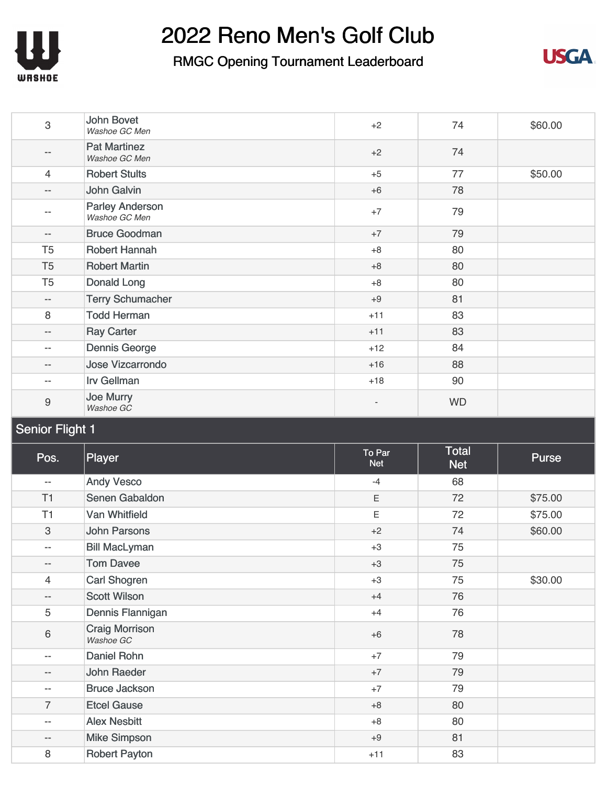



| 3                         | <b>John Bovet</b><br>Washoe GC Men      | $+2$                 | 74                         | \$60.00 |
|---------------------------|-----------------------------------------|----------------------|----------------------------|---------|
| --                        | <b>Pat Martinez</b><br>Washoe GC Men    | $+2$                 | 74                         |         |
| $\overline{4}$            | <b>Robert Stults</b>                    | $+5$                 | 77                         | \$50.00 |
| $\overline{\phantom{a}}$  | <b>John Galvin</b>                      | $+6$                 | 78                         |         |
| $-$                       | <b>Parley Anderson</b><br>Washoe GC Men | $+7$                 | 79                         |         |
| $\overline{\phantom{a}}$  | <b>Bruce Goodman</b>                    | $+7$                 | 79                         |         |
| T <sub>5</sub>            | <b>Robert Hannah</b>                    | $+8$                 | 80                         |         |
| T <sub>5</sub>            | <b>Robert Martin</b>                    | $+8$                 | 80                         |         |
| T <sub>5</sub>            | <b>Donald Long</b>                      | $+8$                 | 80                         |         |
| $\overline{\phantom{a}}$  | <b>Terry Schumacher</b>                 | $+9$                 | 81                         |         |
| 8                         | <b>Todd Herman</b>                      | $+11$                | 83                         |         |
| $- -$                     | <b>Ray Carter</b>                       | $+11$                | 83                         |         |
| $\overline{\phantom{a}}$  | <b>Dennis George</b>                    | $+12$                | 84                         |         |
| $- -$                     | <b>Jose Vizcarrondo</b>                 | $+16$                | 88                         |         |
| $\overline{\phantom{a}}$  | <b>Irv Gellman</b>                      | $+18$                | 90                         |         |
| $\boldsymbol{9}$          | <b>Joe Murry</b><br>Washoe GC           |                      | <b>WD</b>                  |         |
| <b>Senior Flight 1</b>    |                                         |                      |                            |         |
|                           |                                         |                      |                            |         |
| Pos.                      | Player                                  | To Par<br><b>Net</b> | <b>Total</b><br><b>Net</b> | Purse   |
| $- -$                     | <b>Andy Vesco</b>                       | $-4$                 | 68                         |         |
| T1                        | Senen Gabaldon                          | $\mathsf E$          | 72                         | \$75.00 |
| T1                        | <b>Van Whitfield</b>                    | $\mathsf E$          | 72                         | \$75.00 |
| $\ensuremath{\mathsf{3}}$ | <b>John Parsons</b>                     | $+2$                 | 74                         | \$60.00 |
| --                        | <b>Bill MacLyman</b>                    | $+3$                 | 75                         |         |
| $- -$                     | Tom Davee                               | $+3$                 | 75                         |         |
| $\overline{4}$            | Carl Shogren                            | $+3$                 | 75                         | \$30.00 |
| $\qquad \qquad -$         | <b>Scott Wilson</b>                     | $+4$                 | 76                         |         |
| $\mathbf 5$               | Dennis Flannigan                        | $+4$                 | 76                         |         |
| 6                         | <b>Craig Morrison</b><br>Washoe GC      | $+6$                 | 78                         |         |
| $- -$                     | <b>Daniel Rohn</b>                      | $+7$                 | 79                         |         |
| $\overline{\phantom{a}}$  | John Raeder                             | $+7$                 | 79                         |         |
| $\overline{\phantom{a}}$  | <b>Bruce Jackson</b>                    | $+7$                 | 79                         |         |
| $\overline{7}$            | <b>Etcel Gause</b>                      | $+8$                 | 80                         |         |
| $- -$                     | <b>Alex Nesbitt</b>                     | $+8$                 | 80                         |         |
| $\overline{\phantom{a}}$  | <b>Mike Simpson</b>                     | $+9$                 | 81                         |         |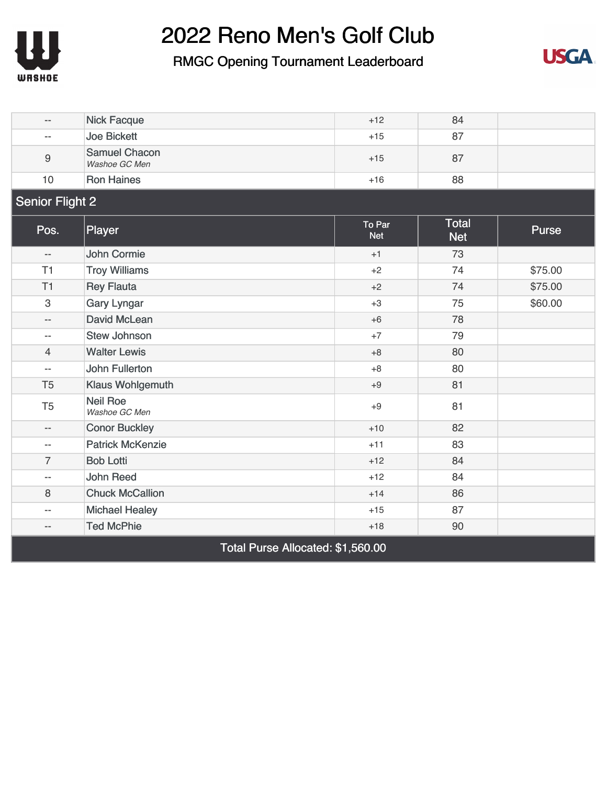



| $-$                       | <b>Nick Facque</b>                    | $+12$                | 84                         |         |
|---------------------------|---------------------------------------|----------------------|----------------------------|---------|
| $-$                       | <b>Joe Bickett</b>                    | $+15$                | 87                         |         |
| 9                         | <b>Samuel Chacon</b><br>Washoe GC Men | $+15$                | 87                         |         |
| 10                        | <b>Ron Haines</b>                     | $+16$                | 88                         |         |
| <b>Senior Flight 2</b>    |                                       |                      |                            |         |
| Pos.                      | Player                                | To Par<br><b>Net</b> | <b>Total</b><br><b>Net</b> | Purse   |
| $- -$                     | <b>John Cormie</b>                    | $+1$                 | 73                         |         |
| T1                        | <b>Troy Williams</b>                  | $+2$                 | 74                         | \$75.00 |
| T1                        | <b>Rey Flauta</b>                     | $+2$                 | 74                         | \$75.00 |
| $\ensuremath{\mathsf{3}}$ | <b>Gary Lyngar</b>                    | $+3$                 | 75                         | \$60.00 |
| $-$                       | <b>David McLean</b>                   | $+6$                 | 78                         |         |
| --                        | <b>Stew Johnson</b>                   | $+7$                 | 79                         |         |
| $\overline{4}$            | <b>Walter Lewis</b>                   | $+8$                 | 80                         |         |
| $\overline{a}$            | <b>John Fullerton</b>                 | $+8$                 | 80                         |         |
| T <sub>5</sub>            | <b>Klaus Wohlgemuth</b>               | $+9$                 | 81                         |         |
| T <sub>5</sub>            | <b>Neil Roe</b><br>Washoe GC Men      | $+9$                 | 81                         |         |
| $- -$                     | <b>Conor Buckley</b>                  | $+10$                | 82                         |         |
| $\overline{\phantom{a}}$  | <b>Patrick McKenzie</b>               | $+11$                | 83                         |         |
| 7                         | <b>Bob Lotti</b>                      | $+12$                | 84                         |         |
| $\overline{a}$            | <b>John Reed</b>                      | $+12$                | 84                         |         |
| 8                         | <b>Chuck McCallion</b>                | $+14$                | 86                         |         |
| --                        | <b>Michael Healey</b>                 | $+15$                | 87                         |         |
| $- -$                     | <b>Ted McPhie</b>                     | $+18$                | 90                         |         |
|                           | Total Purse Allocated: \$1,560.00     |                      |                            |         |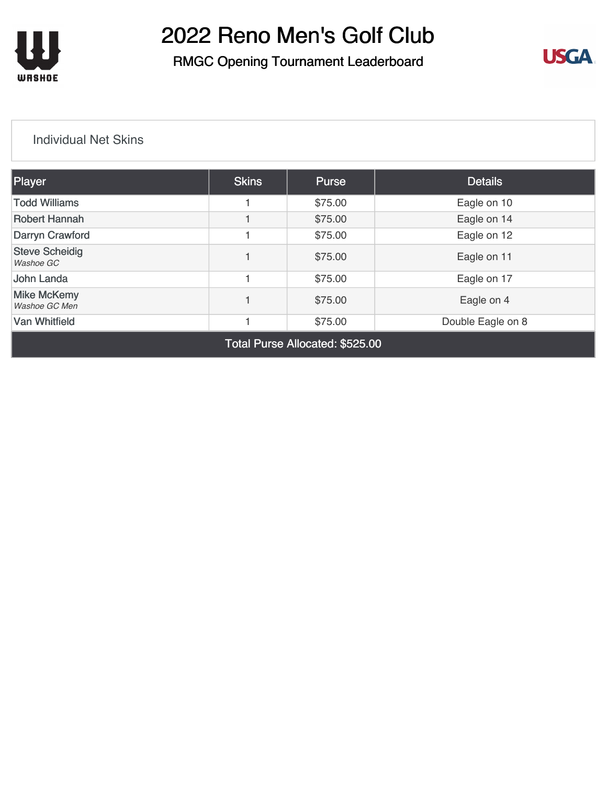

### RMGC Opening Tournament Leaderboard



#### [Individual Net Skins](https://cdn2.golfgenius.com/v2tournaments/8161025366614367504?called_from=&round_index=1)

| <b>Player</b>                       | <b>Skins</b> | <b>Purse</b> | <b>Details</b>    |
|-------------------------------------|--------------|--------------|-------------------|
| <b>Todd Williams</b>                |              | \$75.00      | Eagle on 10       |
| <b>Robert Hannah</b>                |              | \$75.00      | Eagle on 14       |
| Darryn Crawford                     |              | \$75.00      | Eagle on 12       |
| <b>Steve Scheidig</b><br>Washoe GC  |              | \$75.00      | Eagle on 11       |
| John Landa                          |              | \$75.00      | Eagle on 17       |
| <b>Mike McKemy</b><br>Washoe GC Men |              | \$75.00      | Eagle on 4        |
| <b>Van Whitfield</b>                |              | \$75.00      | Double Eagle on 8 |
|                                     |              |              |                   |

Total Purse Allocated: \$525.00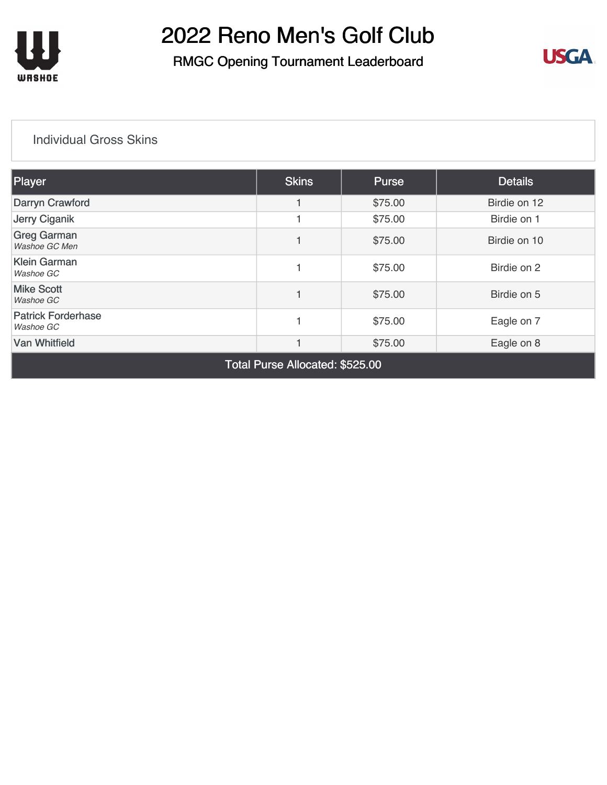

### RMGC Opening Tournament Leaderboard



#### [Individual Gross Skins](https://cdn2.golfgenius.com/v2tournaments/8161025488551173402?called_from=&round_index=1)

| Player                                 | <b>Skins</b> | <b>Purse</b> | <b>Details</b> |  |  |  |
|----------------------------------------|--------------|--------------|----------------|--|--|--|
| Darryn Crawford                        |              | \$75.00      | Birdie on 12   |  |  |  |
| Jerry Ciganik                          |              | \$75.00      | Birdie on 1    |  |  |  |
| <b>Greg Garman</b><br>Washoe GC Men    |              | \$75.00      | Birdie on 10   |  |  |  |
| <b>Klein Garman</b><br>Washoe GC       |              | \$75.00      | Birdie on 2    |  |  |  |
| <b>Mike Scott</b><br>Washoe GC         |              | \$75.00      | Birdie on 5    |  |  |  |
| <b>Patrick Forderhase</b><br>Washoe GC |              | \$75.00      | Eagle on 7     |  |  |  |
| <b>Van Whitfield</b>                   |              | \$75.00      | Eagle on 8     |  |  |  |
|                                        |              |              |                |  |  |  |

Total Purse Allocated: \$525.00